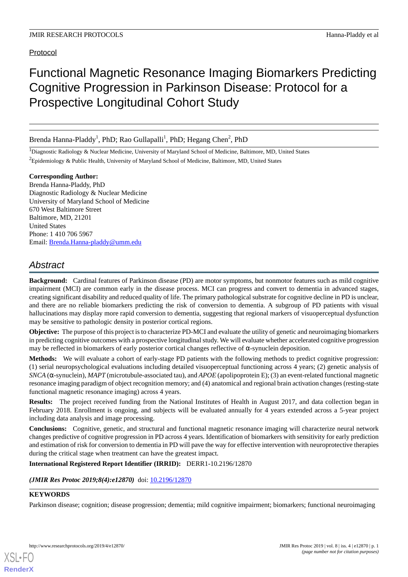# Protocol

# Functional Magnetic Resonance Imaging Biomarkers Predicting Cognitive Progression in Parkinson Disease: Protocol for a Prospective Longitudinal Cohort Study

Brenda Hanna-Pladdy<sup>1</sup>, PhD; Rao Gullapalli<sup>1</sup>, PhD; Hegang Chen<sup>2</sup>, PhD

<sup>1</sup>Diagnostic Radiology & Nuclear Medicine, University of Maryland School of Medicine, Baltimore, MD, United States  ${}^{2}$ Epidemiology & Public Health, University of Maryland School of Medicine, Baltimore, MD, United States

#### **Corresponding Author:**

Brenda Hanna-Pladdy, PhD Diagnostic Radiology & Nuclear Medicine University of Maryland School of Medicine 670 West Baltimore Street Baltimore, MD, 21201 United States Phone: 1 410 706 5967 Email: [Brenda.Hanna-pladdy@umm.edu](mailto:Brenda.Hanna-pladdy@umm.edu)

# *Abstract*

**Background:** Cardinal features of Parkinson disease (PD) are motor symptoms, but nonmotor features such as mild cognitive impairment (MCI) are common early in the disease process. MCI can progress and convert to dementia in advanced stages, creating significant disability and reduced quality of life. The primary pathological substrate for cognitive decline in PD is unclear, and there are no reliable biomarkers predicting the risk of conversion to dementia. A subgroup of PD patients with visual hallucinations may display more rapid conversion to dementia, suggesting that regional markers of visuoperceptual dysfunction may be sensitive to pathologic density in posterior cortical regions.

**Objective:** The purpose of this project is to characterize PD-MCI and evaluate the utility of genetic and neuroimaging biomarkers in predicting cognitive outcomes with a prospective longitudinal study. We will evaluate whether accelerated cognitive progression may be reflected in biomarkers of early posterior cortical changes reflective of  $\alpha$ -synuclein deposition.

**Methods:** We will evaluate a cohort of early-stage PD patients with the following methods to predict cognitive progression: (1) serial neuropsychological evaluations including detailed visuoperceptual functioning across 4 years; (2) genetic analysis of *SNCA* (α-synuclein), *MAPT*(microtubule-associated tau), and *APOE* (apolipoprotein E); (3) an event-related functional magnetic resonance imaging paradigm of object recognition memory; and (4) anatomical and regional brain activation changes (resting-state functional magnetic resonance imaging) across 4 years.

**Results:** The project received funding from the National Institutes of Health in August 2017, and data collection began in February 2018. Enrollment is ongoing, and subjects will be evaluated annually for 4 years extended across a 5-year project including data analysis and image processing.

**Conclusions:** Cognitive, genetic, and structural and functional magnetic resonance imaging will characterize neural network changes predictive of cognitive progression in PD across 4 years. Identification of biomarkers with sensitivity for early prediction and estimation of risk for conversion to dementia in PD will pave the way for effective intervention with neuroprotective therapies during the critical stage when treatment can have the greatest impact.

# **International Registered Report Identifier (IRRID):** DERR1-10.2196/12870

#### *(JMIR Res Protoc 2019;8(4):e12870)* doi:  $10.2196/12870$

# **KEYWORDS**

[XSL](http://www.w3.org/Style/XSL)•FO **[RenderX](http://www.renderx.com/)**

Parkinson disease; cognition; disease progression; dementia; mild cognitive impairment; biomarkers; functional neuroimaging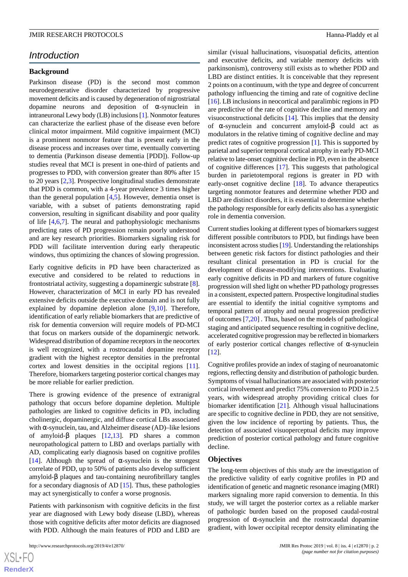# *Introduction*

#### **Background**

Parkinson disease (PD) is the second most common neurodegenerative disorder characterized by progressive movement deficits and is caused by degeneration of nigrostriatal dopamine neurons and deposition of α-synuclein in intraneuronal Lewy body (LB) inclusions [[1](#page-8-0)]. Nonmotor features can characterize the earliest phase of the disease even before clinical motor impairment. Mild cognitive impairment (MCI) is a prominent nonmotor feature that is present early in the disease process and increases over time, eventually converting to dementia (Parkinson disease dementia [PDD]). Follow-up studies reveal that MCI is present in one-third of patients and progresses to PDD, with conversion greater than 80% after 15 to 20 years [\[2](#page-8-1),[3\]](#page-8-2). Prospective longitudinal studies demonstrate that PDD is common, with a 4-year prevalence 3 times higher than the general population  $[4,5]$  $[4,5]$  $[4,5]$ . However, dementia onset is variable, with a subset of patients demonstrating rapid conversion, resulting in significant disability and poor quality of life [[4,](#page-8-3)[6](#page-9-1),[7\]](#page-9-2). The neural and pathophysiologic mechanisms predicting rates of PD progression remain poorly understood and are key research priorities. Biomarkers signaling risk for PDD will facilitate intervention during early therapeutic windows, thus optimizing the chances of slowing progression.

Early cognitive deficits in PD have been characterized as executive and considered to be related to reductions in frontostriatal activity, suggesting a dopaminergic substrate [[8\]](#page-9-3). However, characterization of MCI in early PD has revealed extensive deficits outside the executive domain and is not fully explained by dopamine depletion alone [[9](#page-9-4)[,10](#page-9-5)]. Therefore, identification of early reliable biomarkers that are predictive of risk for dementia conversion will require models of PD-MCI that focus on markers outside of the dopaminergic network. Widespread distribution of dopamine receptors in the neocortex is well recognized, with a rostrocaudal dopamine receptor gradient with the highest receptor densities in the prefrontal cortex and lowest densities in the occipital regions [[11\]](#page-9-6). Therefore, biomarkers targeting posterior cortical changes may be more reliable for earlier prediction.

There is growing evidence of the presence of extranigral pathology that occurs before dopamine depletion. Multiple pathologies are linked to cognitive deficits in PD, including cholinergic, dopaminergic, and diffuse cortical LBs associated with  $\alpha$ -synuclein, tau, and Alzheimer disease (AD)–like lesions of amyloid-β plaques [[12](#page-9-7)[,13](#page-9-8)]. PD shares a common neuropathological pattern to LBD and overlaps partially with AD, complicating early diagnosis based on cognitive profiles [[14\]](#page-9-9). Although the spread of  $\alpha$ -synuclein is the strongest correlate of PDD, up to 50% of patients also develop sufficient amyloid-β plaques and tau-containing neurofibrillary tangles for a secondary diagnosis of AD [[15\]](#page-9-10). Thus, these pathologies may act synergistically to confer a worse prognosis.

Patients with parkinsonism with cognitive deficits in the first year are diagnosed with Lewy body disease (LBD), whereas those with cognitive deficits after motor deficits are diagnosed with PDD. Although the main features of PDD and LBD are

 $XS$ -FO **[RenderX](http://www.renderx.com/)** similar (visual hallucinations, visuospatial deficits, attention and executive deficits, and variable memory deficits with parkinsonism), controversy still exists as to whether PDD and LBD are distinct entities. It is conceivable that they represent 2 points on a continuum, with the type and degree of concurrent pathology influencing the timing and rate of cognitive decline [[16\]](#page-9-11). LB inclusions in neocortical and paralimbic regions in PD are predictive of the rate of cognitive decline and memory and visuoconstructional deficits [[14\]](#page-9-9). This implies that the density of α-synuclein and concurrent amyloid-β could act as modulators in the relative timing of cognitive decline and may predict rates of cognitive progression [[1\]](#page-8-0). This is supported by parietal and superior temporal cortical atrophy in early PD-MCI relative to late-onset cognitive decline in PD, even in the absence of cognitive differences [[17\]](#page-9-12). This suggests that pathological burden in parietotemporal regions is greater in PD with early-onset cognitive decline [\[18](#page-9-13)]. To advance therapeutics targeting nonmotor features and determine whether PDD and LBD are distinct disorders, it is essential to determine whether the pathology responsible for early deficits also has a synergistic role in dementia conversion.

Current studies looking at different types of biomarkers suggest different possible contributors to PDD, but findings have been inconsistent across studies [\[19](#page-9-14)]. Understanding the relationships between genetic risk factors for distinct pathologies and their resultant clinical presentation in PD is crucial for the development of disease-modifying interventions. Evaluating early cognitive deficits in PD and markers of future cognitive progression will shed light on whether PD pathology progresses in a consistent, expected pattern. Prospective longitudinal studies are essential to identify the initial cognitive symptoms and temporal pattern of atrophy and neural progression predictive of outcomes [[7,](#page-9-2)[20\]](#page-9-15) *.* Thus, based on the models of pathological staging and anticipated sequence resulting in cognitive decline, accelerated cognitive progression may be reflected in biomarkers of early posterior cortical changes reflective of α-synuclein [[12\]](#page-9-7).

Cognitive profiles provide an index of staging of neuroanatomic regions, reflecting density and distribution of pathologic burden. Symptoms of visual hallucinations are associated with posterior cortical involvement and predict 75% conversion to PDD in 2.5 years, with widespread atrophy providing critical clues for biomarker identification [\[21](#page-9-16)]. Although visual hallucinations are specific to cognitive decline in PDD, they are not sensitive, given the low incidence of reporting by patients. Thus, the detection of associated visuoperceptual deficits may improve prediction of posterior cortical pathology and future cognitive decline.

#### **Objectives**

The long-term objectives of this study are the investigation of the predictive validity of early cognitive profiles in PD and identification of genetic and magnetic resonance imaging (MRI) markers signaling more rapid conversion to dementia. In this study, we will target the posterior cortex as a reliable marker of pathologic burden based on the proposed caudal-rostral progression of α-synuclein and the rostrocaudal dopamine gradient, with lower occipital receptor density eliminating the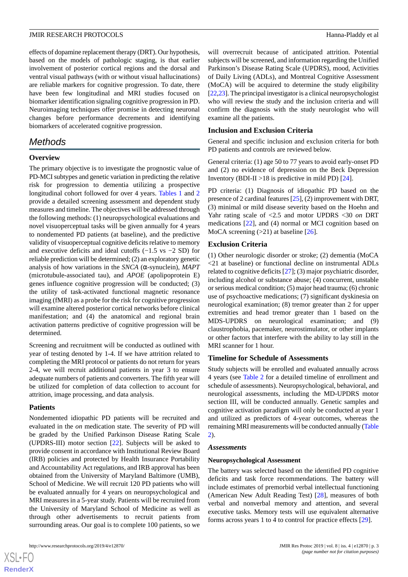effects of dopamine replacement therapy (DRT). Our hypothesis, based on the models of pathologic staging, is that earlier involvement of posterior cortical regions and the dorsal and ventral visual pathways (with or without visual hallucinations) are reliable markers for cognitive progression. To date, there have been few longitudinal and MRI studies focused on biomarker identification signaling cognitive progression in PD. Neuroimaging techniques offer promise in detecting neuronal changes before performance decrements and identifying biomarkers of accelerated cognitive progression.

# *Methods*

#### **Overview**

The primary objective is to investigate the prognostic value of PD-MCI subtypes and genetic variation in predicting the relative risk for progression to dementia utilizing a prospective longitudinal cohort followed for over 4 years. [Tables 1](#page-3-0) and [2](#page-3-1) provide a detailed screening assessment and dependent study measures and timeline. The objectives will be addressed through the following methods: (1) neuropsychological evaluations and novel visuoperceptual tasks will be given annually for 4 years to nondemented PD patients (at baseline), and the predictive validity of visuoperceptual cognitive deficits relative to memory and executive deficits and ideal cutoffs (−1.5 vs −2 SD) for reliable prediction will be determined; (2) an exploratory genetic analysis of how variations in the *SNCA* (α-synuclein), *MAPT* (microtubule-associated tau), and *APOE* (apolipoprotein E) genes influence cognitive progression will be conducted; (3) the utility of task-activated functional magnetic resonance imaging (fMRI) as a probe for the risk for cognitive progression will examine altered posterior cortical networks before clinical manifestation; and (4) the anatomical and regional brain activation patterns predictive of cognitive progression will be determined.

Screening and recruitment will be conducted as outlined with year of testing denoted by 1-4. If we have attrition related to completing the MRI protocol or patients do not return for years 2-4, we will recruit additional patients in year 3 to ensure adequate numbers of patients and converters. The fifth year will be utilized for completion of data collection to account for attrition, image processing, and data analysis.

#### **Patients**

[XSL](http://www.w3.org/Style/XSL)•FO **[RenderX](http://www.renderx.com/)**

Nondemented idiopathic PD patients will be recruited and evaluated in the *on* medication state. The severity of PD will be graded by the Unified Parkinson Disease Rating Scale (UPDRS-III) motor section [[22\]](#page-9-17). Subjects will be asked to provide consent in accordance with Institutional Review Board (IRB) policies and protected by Health Insurance Portability and Accountability Act regulations, and IRB approval has been obtained from the University of Maryland Baltimore (UMB), School of Medicine. We will recruit 120 PD patients who will be evaluated annually for 4 years on neuropsychological and MRI measures in a 5-year study. Patients will be recruited from the University of Maryland School of Medicine as well as through other advertisements to recruit patients from surrounding areas. Our goal is to complete 100 patients, so we

will overrecruit because of anticipated attrition. Potential subjects will be screened, and information regarding the Unified Parkinson's Disease Rating Scale (UPDRS), mood, Activities of Daily Living (ADLs), and Montreal Cognitive Assessment (MoCA) will be acquired to determine the study eligibility [[22,](#page-9-17)[23\]](#page-9-18). The principal investigator is a clinical neuropsychologist who will review the study and the inclusion criteria and will confirm the diagnosis with the study neurologist who will examine all the patients.

#### **Inclusion and Exclusion Criteria**

General and specific inclusion and exclusion criteria for both PD patients and controls are reviewed below.

General criteria: (1) age 50 to 77 years to avoid early-onset PD and (2) no evidence of depression on the Beck Depression Inventory (BDI-II  $>18$  is predictive in mild PD) [[24\]](#page-9-19).

PD criteria: (1) Diagnosis of idiopathic PD based on the presence of 2 cardinal features [\[25\]](#page-9-20), (2) improvement with DRT, (3) minimal or mild disease severity based on the Hoehn and Yahr rating scale of <2.5 and motor UPDRS <30 *on* DRT medications [[22\]](#page-9-17), and (4) normal or MCI cognition based on MoCA screening  $(>21)$  at baseline  $[26]$  $[26]$ .

#### **Exclusion Criteria**

(1) Other neurologic disorder or stroke; (2) dementia (MoCA <21 at baseline) or functional decline on instrumental ADLs related to cognitive deficits [[27\]](#page-10-0); (3) major psychiatric disorder, including alcohol or substance abuse; (4) concurrent, unstable or serious medical condition; (5) major head trauma; (6) chronic use of psychoactive medications; (7) significant dyskinesia on neurological examination; (8) tremor greater than 2 for upper extremities and head tremor greater than 1 based on the MDS-UPDRS on neurological examination; and (9) claustrophobia, pacemaker, neurostimulator, or other implants or other factors that interfere with the ability to lay still in the MRI scanner for 1 hour.

#### **Timeline for Schedule of Assessments**

Study subjects will be enrolled and evaluated annually across 4 years (see [Table 2](#page-3-1) for a detailed timeline of enrollment and schedule of assessments). Neuropsychological, behavioral, and neurological assessments, including the MD-UPDRS motor section III, will be conducted annually. Genetic samples and cognitive activation paradigm will only be conducted at year 1 and utilized as predictors of 4-year outcomes, whereas the remaining MRI measurements will be conducted annually [\(Table](#page-3-1) [2\)](#page-3-1).

#### *Assessments*

#### **Neuropsychological Assessment**

The battery was selected based on the identified PD cognitive deficits and task force recommendations. The battery will include estimates of premorbid verbal intellectual functioning (American New Adult Reading Test) [[28\]](#page-10-1), measures of both verbal and nonverbal memory and attention, and several executive tasks. Memory tests will use equivalent alternative forms across years 1 to 4 to control for practice effects [[29\]](#page-10-2).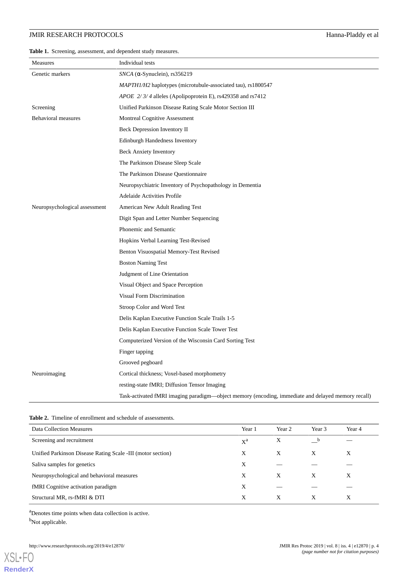# JMIR RESEARCH PROTOCOLS Hanna-Pladdy et al

<span id="page-3-0"></span>**Table 1.** Screening, assessment, and dependent study measures.

| Measures                      | Individual tests                                                                                   |
|-------------------------------|----------------------------------------------------------------------------------------------------|
| Genetic markers               | $SNCA$ ( $\alpha$ -Synuclein), rs356219                                                            |
|                               | <i>MAPTH1/H2</i> haplotypes (microtubule-associated tau), rs1800547                                |
|                               | APOE 2/3/4 alleles (Apolipoprotein E), rs429358 and rs7412                                         |
| Screening                     | Unified Parkinson Disease Rating Scale Motor Section III                                           |
| Behavioral measures           | Montreal Cognitive Assessment                                                                      |
|                               | Beck Depression Inventory II                                                                       |
|                               | <b>Edinburgh Handedness Inventory</b>                                                              |
|                               | <b>Beck Anxiety Inventory</b>                                                                      |
|                               | The Parkinson Disease Sleep Scale                                                                  |
|                               | The Parkinson Disease Questionnaire                                                                |
|                               | Neuropsychiatric Inventory of Psychopathology in Dementia                                          |
|                               | Adelaide Activities Profile                                                                        |
| Neuropsychological assessment | American New Adult Reading Test                                                                    |
|                               | Digit Span and Letter Number Sequencing                                                            |
|                               | Phonemic and Semantic                                                                              |
|                               | Hopkins Verbal Learning Test-Revised                                                               |
|                               | Benton Visuospatial Memory-Test Revised                                                            |
|                               | <b>Boston Naming Test</b>                                                                          |
|                               | Judgment of Line Orientation                                                                       |
|                               | Visual Object and Space Perception                                                                 |
|                               | Visual Form Discrimination                                                                         |
|                               | Stroop Color and Word Test                                                                         |
|                               | Delis Kaplan Executive Function Scale Trails 1-5                                                   |
|                               | Delis Kaplan Executive Function Scale Tower Test                                                   |
|                               | Computerized Version of the Wisconsin Card Sorting Test                                            |
|                               | Finger tapping                                                                                     |
|                               | Grooved pegboard                                                                                   |
| Neuroimaging                  | Cortical thickness; Voxel-based morphometry                                                        |
|                               | resting-state fMRI; Diffusion Tensor Imaging                                                       |
|                               | Task-activated fMRI imaging paradigm—object memory (encoding, immediate and delayed memory recall) |

<span id="page-3-1"></span>

|  |  | <b>Table 2.</b> Timeline of enrollment and schedule of assessments. |  |  |
|--|--|---------------------------------------------------------------------|--|--|
|--|--|---------------------------------------------------------------------|--|--|

| Data Collection Measures                                    | Year 1 | Year 2 | Year 3      | Year 4 |
|-------------------------------------------------------------|--------|--------|-------------|--------|
| Screening and recruitment                                   | $X^a$  | Χ      | $\mathbf b$ |        |
| Unified Parkinson Disease Rating Scale -III (motor section) |        | X      | X           | X      |
| Saliva samples for genetics                                 | Χ      |        |             |        |
| Neuropsychological and behavioral measures                  | X      | X      | X           | X      |
| fMRI Cognitive activation paradigm                          | Χ      |        |             |        |
| Structural MR, rs-fMRI & DTI                                | X      | X      | X           | X      |

<sup>a</sup>Denotes time points when data collection is active.

<sup>b</sup>Not applicable.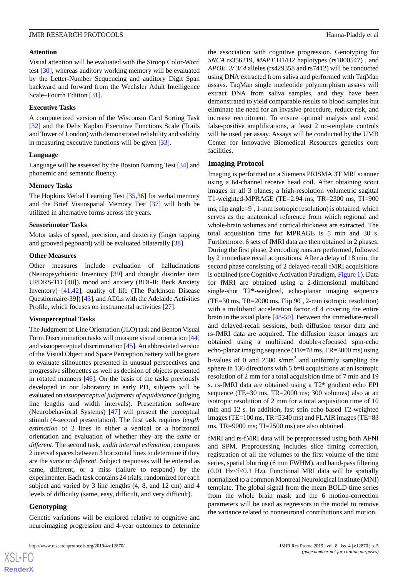#### **Attention**

Visual attention will be evaluated with the Stroop Color-Word test [\[30](#page-10-3)], whereas auditory working memory will be evaluated by the Letter-Number Sequencing and auditory Digit Span backward and forward from the Wechsler Adult Intelligence Scale–Fourth Edition [[31\]](#page-10-4).

#### **Executive Tasks**

A computerized version of the Wisconsin Card Sorting Task [[32\]](#page-10-5) and the Delis Kaplan Executive Functions Scale (Trails and Tower of London) with demonstrated reliability and validity in measuring executive functions will be given [\[33](#page-10-6)].

#### **Language**

Language will be assessed by the Boston Naming Test [[34\]](#page-10-7) and phonemic and semantic fluency.

#### **Memory Tasks**

The Hopkins Verbal Learning Test [[35,](#page-10-8)[36](#page-10-9)] for verbal memory and the Brief Visuospatial Memory Test [[37\]](#page-10-10) will both be utilized in alternative forms across the years*.*

#### **Sensorimotor Tasks**

Motor tasks of speed, precision, and dexterity (finger tapping and grooved pegboard) will be evaluated bilaterally [\[38](#page-10-11)].

#### **Other Measures**

Other measures include evaluation of hallucinations (Neuropsychiatric Inventory [\[39](#page-10-12)] and thought disorder item UPDRS-TD [\[40](#page-10-13)]), mood and anxiety (BDI-II; Beck Anxiety Inventory) [[41,](#page-10-14)[42](#page-10-15)], quality of life (The Parkinson Disease Questionnaire-39]) [[43\]](#page-10-16), and ADLs with the Adelaide Activities Profile, which focuses on instrumental activities [[27\]](#page-10-0).

#### **Visuoperceptual Tasks**

The Judgment of Line Orientation (JLO) task and Benton Visual Form Discrimination tasks will measure visual orientation [\[44](#page-10-17)] and visuoperceptual discrimination [\[45](#page-10-18)]. An abbreviated version of the Visual Object and Space Perception battery will be given to evaluate silhouettes presented in unusual perspectives and progressive silhouettes as well as decision of objects presented in rotated manners [\[46](#page-10-19)]. On the basis of the tasks previously developed in our laboratory in early PD, subjects will be evaluated on *visuoperceptual judgments of equidistance* (judging line lengths and width intervals). Presentation software (Neurobehavioral Systems) [[47\]](#page-10-20) will present the perceptual stimuli (4-second presentation). The first task requires *length estimation* of 2 lines in either a vertical or a horizontal orientation and evaluation of whether they are the *same* or *different*. The second task, *width interval estimation*, compares 2 interval spaces between 3 horizontal lines to determine if they are the *same* or *different*. Subject responses will be entered as same, different, or a miss (failure to respond) by the experimenter. Each task contains 24 trials, randomized for each subject and varied by 3 line lengths (4, 8, and 12 cm) and 4 levels of difficulty (same, easy, difficult, and very difficult).

#### **Genotyping**

Genetic variations will be explored relative to cognitive and neuroimaging progression and 4-year outcomes to determine

the association with cognitive progression. Genotyping for *SNCA* rs356219, *MAPT* H1/H2 haplotypes (rs1800547) *,* and *APOE 2/ 3/ 4* alleles (rs429358 and rs7412) will be conducted using DNA extracted from saliva and performed with TaqMan assays. TaqMan single nucleotide polymorphism assays will extract DNA from saliva samples, and they have been demonstrated to yield comparable results to blood samples but eliminate the need for an invasive procedure, reduce risk, and increase recruitment. To ensure optimal analysis and avoid false-positive amplifications, at least 2 no-template controls will be used per assay. Assays will be conducted by the UMB Center for Innovative Biomedical Resources genetics core facilities.

#### **Imaging Protocol**

Imaging is performed on a Siemens PRISMA 3T MRI scanner using a 64-channel receive head coil. After obtaining scout images in all 3 planes, a high-resolution volumetric sagittal T1-weighted-MPRAGE (TE=2.94 ms, TR=2300 ms, TI=900 ms, flip angle=9° , 1-mm isotropic resolution) is obtained, which serves as the anatomical reference from which regional and whole-brain volumes and cortical thickness are extracted. The total acquisition time for MPRAGE is 5 min and 30 s. Furthermore, 6 sets of fMRI data are then obtained in 2 phases. During the first phase, 2 encoding runs are performed, followed by 2 immediate recall acquisitions. After a delay of 18 min, the second phase consisting of 2 delayed-recall fMRI acquisitions is obtained (see Cognitive Activation Paradigm, [Figure 1](#page-5-0)). Data for fMRI are obtained using a 2-dimensional multiband single-shot T2\*-weighted, echo-planar imaging sequence (TE=30 ms, TR=2000 ms, Flip 90° , 2-mm isotropic resolution) with a multiband acceleration factor of 4 covering the entire brain in the axial plane [\[48](#page-10-21)[-50](#page-10-22)]. Between the immediate-recall and delayed-recall sessions, both diffusion tensor data and rs-fMRI data are acquired. The diffusion tensor images are obtained using a multiband double-refocused spin-echo echo-planar imaging sequence (TE=78 ms, TR=3000 ms) using b-values of 0 and  $2500 \text{ s/mm}^2$  and uniformly sampling the sphere in 136 directions with 5 b=0 acquisitions at an isotropic resolution of 2 mm for a total acquisition time of 7 min and 19 s. rs-fMRI data are obtained using a T2\* gradient echo EPI sequence (TE=30 ms, TR=2000 ms; 300 volumes) also at an isotropic resolution of 2 mm for a total acquisition time of 10 min and 12 s. In addition, fast spin echo-based T2-weighted images (TE=100 ms, TR=5340 ms) and FLAIR images (TE=83 ms, TR=9000 ms; TI=2500 ms) are also obtained.

fMRI and rs-fMRI data will be preprocessed using both AFNI and SPM. Preprocessing includes slice timing correction, registration of all the volumes to the first volume of the time series, spatial blurring (6 mm FWHM), and band-pass filtering  $(0.01 \text{ Hz} < f < 0.1 \text{ Hz})$ . Functional MRI data will be spatially normalized to a common Montreal Neurological Institute (MNI) template. The global signal from the mean BOLD time series from the whole brain mask and the 6 motion-correction parameters will be used as regressors in the model to remove the variance related to nonneuronal contributions and motion.

 $XS$  • FO **[RenderX](http://www.renderx.com/)**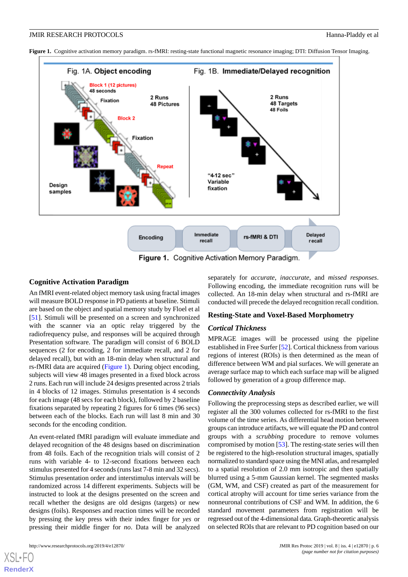<span id="page-5-0"></span>**Figure 1.** Cognitive activation memory paradigm. rs-fMRI: resting-state functional magnetic resonance imaging; DTI: Diffusion Tensor Imaging.



#### **Cognitive Activation Paradigm**

An fMRI event-related object memory task using fractal images will measure BOLD response in PD patients at baseline. Stimuli are based on the object and spatial memory study by Floel et al [[51\]](#page-10-23). Stimuli will be presented on a screen and synchronized with the scanner via an optic relay triggered by the radiofrequency pulse, and responses will be acquired through Presentation software. The paradigm will consist of 6 BOLD sequences (2 for encoding, 2 for immediate recall, and 2 for delayed recall), but with an 18-min delay when structural and rs-fMRI data are acquired [\(Figure 1](#page-5-0)). During object encoding, subjects will view 48 images presented in a fixed block across 2 runs. Each run will include 24 designs presented across 2 trials in 4 blocks of 12 images. Stimulus presentation is 4 seconds for each image (48 secs for each block), followed by 2 baseline fixations separated by repeating 2 figures for 6 times (96 secs) between each of the blocks. Each run will last 8 min and 30 seconds for the encoding condition.

An event-related fMRI paradigm will evaluate immediate and delayed recognition of the 48 designs based on discrimination from 48 foils. Each of the recognition trials will consist of 2 runs with variable 4- to 12-second fixations between each stimulus presented for 4 seconds (runs last 7-8 min and 32 secs). Stimulus presentation order and interstimulus intervals will be randomized across 14 different experiments. Subjects will be instructed to look at the designs presented on the screen and recall whether the designs are old designs (targets) or new designs (foils). Responses and reaction times will be recorded by pressing the key press with their index finger for *yes* or pressing their middle finger for *no*. Data will be analyzed

http://www.researchprotocols.org/2019/4/e12870/ JMIR Res Protoc 2019 | vol. 8 | iss. 4 | e12870 | p. 6

[XSL](http://www.w3.org/Style/XSL)•FO **[RenderX](http://www.renderx.com/)**

separately for *accurate*, *inaccurate*, and *missed responses*. Following encoding, the immediate recognition runs will be collected. An 18-min delay when structural and rs-fMRI are conducted will precede the delayed recognition recall condition.

#### **Resting-State and Voxel-Based Morphometry**

#### *Cortical Thickness*

MPRAGE images will be processed using the pipeline established in Free Surfer [\[52](#page-10-24)]. Cortical thickness from various regions of interest (ROIs) is then determined as the mean of difference between WM and pial surfaces. We will generate an average surface map to which each surface map will be aligned followed by generation of a group difference map.

#### *Connectivity Analysis*

Following the preprocessing steps as described earlier, we will register all the 300 volumes collected for rs-fMRI to the first volume of the time series. As differential head motion between groups can introduce artifacts, we will equate the PD and control groups with a *scrubbing* procedure to remove volumes compromised by motion [\[53](#page-10-25)]. The resting-state series will then be registered to the high-resolution structural images, spatially normalized to standard space using the MNI atlas, and resampled to a spatial resolution of 2.0 mm isotropic and then spatially blurred using a 5-mm Gaussian kernel. The segmented masks (GM, WM, and CSF) created as part of the measurement for cortical atrophy will account for time series variance from the nonneuronal contributions of CSF and WM. In addition, the 6 standard movement parameters from registration will be regressed out of the 4-dimensional data. Graph-theoretic analysis on selected ROIs that are relevant to PD cognition based on our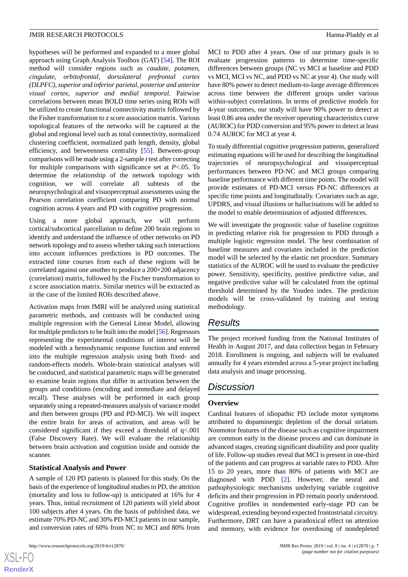hypotheses will be performed and expanded to a more global approach using Graph Analysis Toolbox (GAT) [\[54](#page-10-26)]. The ROI method will consider regions such as *caudate, putamen, cingulate, orbitofrontal, dorsolateral prefrontal cortex (DLPFC), superior and inferior parietal, posterior and anterior visual cortex, superior and medial temporal.* Pairwise correlations between mean BOLD time series using ROIs will be utilized to create functional connectivity matrix followed by the Fisher transformation to z score association matrix. Various topological features of the networks will be captured at the global and regional level such as total connectivity, normalized clustering coefficient, normalized path length, density, global efficiency, and betweenness centrality [\[55](#page-10-27)]. Between-group comparisons will be made using a 2-sample *t*test after correcting for multiple comparisons with significance set at *P*<.05. To determine the relationship of the network topology with cognition, we will correlate all subtests of the neuropsychological and visuoperceptual assessments using the Pearson correlation coefficient comparing PD with normal cognition across 4 years and PD with cognitive progression.

Using a more global approach, we will perform cortical/subcortical parcellation to define 200 brain regions to identify and understand the influence of other networks on PD network topology and to assess whether taking such interactions into account influences predictions in PD outcomes. The extracted time courses from each of these regions will be correlated against one another to produce a 200×200 adjacency (correlation) matrix, followed by the Fischer transformation to z score association matrix. Similar metrics will be extracted as in the case of the limited ROIs described above.

Activation maps from fMRI will be analyzed using statistical parametric methods, and contrasts will be conducted using multiple regression with the General Linear Model, allowing for multiple predictors to be built into the model [[56](#page-10-28)]. Regressors representing the experimental conditions of interest will be modeled with a hemodynamic response function and entered into the multiple regression analysis using both fixed- and random-effects models. Whole-brain statistical analyses will be conducted, and statistical parametric maps will be generated to examine brain regions that differ in activation between the groups and conditions (encoding and immediate and delayed recall). These analyses will be performed in each group separately using a repeated-measures analysis of variance model and then between groups (PD and PD-MCI). We will inspect the entire brain for areas of activation, and areas will be considered significant if they exceed a threshold of q<.001 (False Discovery Rate). We will evaluate the relationship between brain activation and cognition inside and outside the scanner.

# **Statistical Analysis and Power**

A sample of 120 PD patients is planned for this study. On the basis of the experience of longitudinal studies in PD, the attrition (mortality and loss to follow-up) is anticipated at 16% for 4 years. Thus, initial recruitment of 120 patients will yield about 100 subjects after 4 years. On the basis of published data, we estimate 70% PD-NC and 30% PD-MCI patients in our sample, and conversion rates of 60% from NC to MCI and 80% from

 $XS$ -FO **[RenderX](http://www.renderx.com/)** MCI to PDD after 4 years. One of our primary goals is to evaluate progression patterns to determine time-specific differences between groups (NC vs MCI at baseline and PDD vs MCI, MCI vs NC, and PDD vs NC at year 4). Our study will have 80% power to detect medium-to-large average differences across time between the different groups under various within-subject correlations. In terms of predictive models for 4-year outcomes, our study will have 90% power to detect at least 0.86 area under the receiver operating characteristics curve (AUROC) for PDD conversion and 95% power to detect at least 0.74 AUROC for MCI at year 4.

To study differential cognitive progression patterns, generalized estimating equations will be used for describing the longitudinal trajectories of neuropsychological and visuoperceptual performances between PD-NC and MCI groups comparing baseline performance with different time points. The model will provide estimates of PD-MCI versus PD-NC differences at specific time points and longitudinally. Covariates such as age, UPDRS, and visual illusions or hallucinations will be added to the model to enable determination of adjusted differences.

We will investigate the prognostic value of baseline cognition in predicting relative risk for progression to PDD through a multiple logistic regression model. The best combination of baseline measures and covariates included in the prediction model will be selected by the elastic net procedure. Summary statistics of the AUROC will be used to evaluate the predictive power. Sensitivity, specificity, positive predictive value, and negative predictive value will be calculated from the optimal threshold determined by the Youden index. The prediction models will be cross-validated by training and testing methodology.

# *Results*

The project received funding from the National Institutes of Health in August 2017, and data collection began in February 2018. Enrollment is ongoing, and subjects will be evaluated annually for 4 years extended across a 5-year project including data analysis and image processing.

# *Discussion*

# **Overview**

Cardinal features of idiopathic PD include motor symptoms attributed to dopaminergic depletion of the dorsal striatum. Nonmotor features of the disease such as cognitive impairment are common early in the disease process and can dominate in advanced stages, creating significant disability and poor quality of life. Follow-up studies reveal that MCI is present in one-third of the patients and can progress at variable rates to PDD. After 15 to 20 years, more than 80% of patients with MCI are diagnosed with PDD [[2\]](#page-8-1). However, the neural and pathophysiologic mechanisms underlying variable cognitive deficits and their progression in PD remain poorly understood. Cognitive profiles in nondemented early-stage PD can be widespread, extending beyond expected frontostriatal circuitry. Furthermore, DRT can have a paradoxical effect on attention and memory, with evidence for overdosing of nondepleted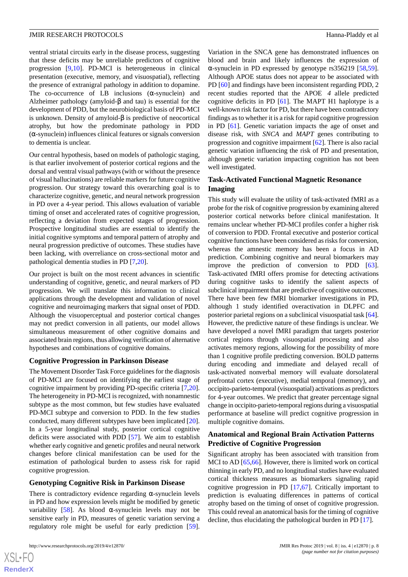ventral striatal circuits early in the disease process, suggesting that these deficits may be unreliable predictors of cognitive progression [\[9](#page-9-4)[,10](#page-9-5)]. PD-MCI is heterogeneous in clinical presentation (executive, memory, and visuospatial), reflecting the presence of extranigral pathology in addition to dopamine. The co-occurrence of LB inclusions  $(\alpha$ -synuclein) and Alzheimer pathology (amyloid-β and tau) is essential for the development of PDD, but the neurobiological basis of PD-MCI is unknown. Density of amyloid-β is predictive of neocortical atrophy, but how the predominate pathology in PDD (α-synuclein) influences clinical features or signals conversion to dementia is unclear.

Our central hypothesis, based on models of pathologic staging, is that earlier involvement of posterior cortical regions and the dorsal and ventral visual pathways (with or without the presence of visual hallucinations) are reliable markers for future cognitive progression. Our strategy toward this overarching goal is to characterize cognitive, genetic, and neural network progression in PD over a 4-year period. This allows evaluation of variable timing of onset and accelerated rates of cognitive progression, reflecting a deviation from expected stages of progression. Prospective longitudinal studies are essential to identify the initial cognitive symptoms and temporal pattern of atrophy and neural progression predictive of outcomes. These studies have been lacking, with overreliance on cross-sectional motor and pathological dementia studies in PD [[7](#page-9-2)[,20](#page-9-15)].

Our project is built on the most recent advances in scientific understanding of cognitive, genetic, and neural markers of PD progression. We will translate this information to clinical applications through the development and validation of novel cognitive and neuroimaging markers that signal onset of PDD. Although the visuoperceptual and posterior cortical changes may not predict conversion in all patients, our model allows simultaneous measurement of other cognitive domains and associated brain regions, thus allowing verification of alternative hypotheses and combinations of cognitive domains.

#### **Cognitive Progression in Parkinson Disease**

The Movement Disorder Task Force guidelines for the diagnosis of PD-MCI are focused on identifying the earliest stage of cognitive impairment by providing PD-specific criteria [\[7](#page-9-2),[20\]](#page-9-15). The heterogeneity in PD-MCI is recognized, with nonamnestic subtype as the most common, but few studies have evaluated PD-MCI subtype and conversion to PDD. In the few studies conducted, many different subtypes have been implicated [[20\]](#page-9-15). In a 5-year longitudinal study, posterior cortical cognitive deficits were associated with PDD [[57\]](#page-11-0). We aim to establish whether early cognitive and genetic profiles and neural network changes before clinical manifestation can be used for the estimation of pathological burden to assess risk for rapid cognitive progression.

#### **Genotyping Cognitive Risk in Parkinson Disease**

There is contradictory evidence regarding  $\alpha$ -synuclein levels in PD and how expression levels might be modified by genetic variability [\[58](#page-11-1)]. As blood α-synuclein levels may not be sensitive early in PD, measures of genetic variation serving a regulatory role might be useful for early prediction [[59\]](#page-11-2).

Variation in the SNCA gene has demonstrated influences on blood and brain and likely influences the expression of α-synuclein in PD expressed by genotype rs356219 [\[58](#page-11-1),[59\]](#page-11-2). Although APOE status does not appear to be associated with PD [\[60](#page-11-3)] and findings have been inconsistent regarding PDD, 2 recent studies reported that the APOE *4* allele predicted cognitive deficits in PD [\[61](#page-11-4)]. The MAPT H1 haplotype is a well-known risk factor for PD, but there have been contradictory findings as to whether it is a risk for rapid cognitive progression in PD [[61\]](#page-11-4). Genetic variation impacts the age of onset and disease risk, with *SNCA* and *MAPT* genes contributing to progression and cognitive impairment [[62\]](#page-11-5). There is also racial genetic variation influencing the risk of PD and presentation, although genetic variation impacting cognition has not been well investigated.

### **Task-Activated Functional Magnetic Resonance Imaging**

This study will evaluate the utility of task-activated fMRI as a probe for the risk of cognitive progression by examining altered posterior cortical networks before clinical manifestation. It remains unclear whether PD-MCI profiles confer a higher risk of conversion to PDD. Frontal executive and posterior cortical cognitive functions have been considered as risks for conversion, whereas the amnestic memory has been a focus in AD prediction. Combining cognitive and neural biomarkers may improve the prediction of conversion to PDD [[63\]](#page-11-6). Task-activated fMRI offers promise for detecting activations during cognitive tasks to identify the salient aspects of subclinical impairment that are predictive of cognitive outcomes. There have been few fMRI biomarker investigations in PD, although 1 study identified overactivation in DLPFC and posterior parietal regions on a subclinical visuospatial task [\[64](#page-11-7)]. However, the predictive nature of these findings is unclear. We have developed a novel fMRI paradigm that targets posterior cortical regions through visuospatial processing and also activates memory regions, allowing for the possibility of more than 1 cognitive profile predicting conversion. BOLD patterns during encoding and immediate and delayed recall of task-activated nonverbal memory will evaluate dorsolateral prefrontal cortex (executive), medial temporal (memory), and occipito-parieto-temporal (visuospatial) activations as predictors for 4-year outcomes. We predict that greater percentage signal change in occipito-parieto-temporal regions during a visuospatial performance at baseline will predict cognitive progression in multiple cognitive domains.

# **Anatomical and Regional Brain Activation Patterns Predictive of Cognitive Progression**

Significant atrophy has been associated with transition from MCI to AD [[65](#page-11-8)[,66](#page-11-9)]. However, there is limited work on cortical thinning in early PD, and no longitudinal studies have evaluated cortical thickness measures as biomarkers signaling rapid cognitive progression in PD [[17,](#page-9-12)[67](#page-11-10)]. Critically important to prediction is evaluating differences in patterns of cortical atrophy based on the timing of onset of cognitive progression. This could reveal an anatomical basis for the timing of cognitive decline, thus elucidating the pathological burden in PD [\[17](#page-9-12)].

 $XS$ -FO **[RenderX](http://www.renderx.com/)**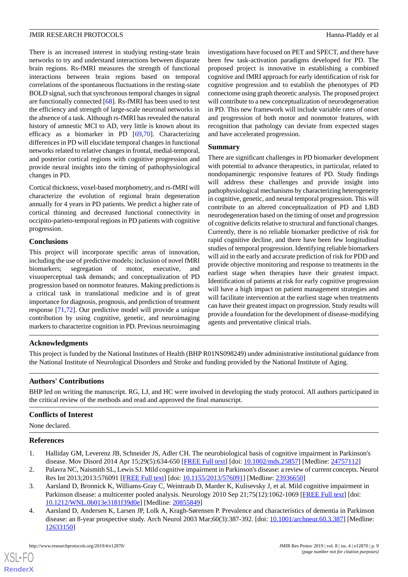There is an increased interest in studying resting-state brain networks to try and understand interactions between disparate brain regions. Rs-fMRI measures the strength of functional interactions between brain regions based on temporal correlations of the spontaneous fluctuations in the resting-state BOLD signal, such that synchronous temporal changes in signal are functionally connected [[68\]](#page-11-11). Rs-fMRI has been used to test the efficiency and strength of large-scale neuronal networks in the absence of a task. Although rs-fMRI has revealed the natural history of amnestic MCI to AD, very little is known about its efficacy as a biomarker in PD [[69](#page-11-12)[,70](#page-11-13)]. Characterizing differences in PD will elucidate temporal changes in functional networks related to relative changes in frontal, medial-temporal, and posterior cortical regions with cognitive progression and provide neural insights into the timing of pathophysiological changes in PD.

Cortical thickness, voxel-based morphometry, and rs-fMRI will characterize the evolution of regional brain degeneration annually for 4 years in PD patients. We predict a higher rate of cortical thinning and decreased functional connectivity in occipito-parieto-temporal regions in PD patients with cognitive progression.

#### **Conclusions**

This project will incorporate specific areas of innovation, including the use of predictive models; inclusion of novel fMRI biomarkers; segregation of motor, executive, and visuoperceptual task demands; and conceptualization of PD progression based on nonmotor features. Making predictions is a critical task in translational medicine and is of great importance for diagnosis, prognosis, and prediction of treatment response [[71](#page-11-14)[,72](#page-11-15)]. Our predictive model will provide a unique contribution by using cognitive, genetic, and neuroimaging markers to characterize cognition in PD. Previous neuroimaging

investigations have focused on PET and SPECT, and there have been few task-activation paradigms developed for PD. The proposed project is innovative in establishing a combined cognitive and fMRI approach for early identification of risk for cognitive progression and to establish the phenotypes of PD connectome using graph theoretic analysis. The proposed project will contribute to a new conceptualization of neurodegeneration in PD. This new framework will include variable rates of onset and progression of both motor and nonmotor features, with recognition that pathology can deviate from expected stages and have accelerated progression.

#### **Summary**

There are significant challenges in PD biomarker development with potential to advance therapeutics, in particular, related to nondopaminergic responsive features of PD. Study findings will address these challenges and provide insight into pathophysiological mechanisms by characterizing heterogeneity in cognitive, genetic, and neural temporal progression. This will contribute to an altered conceptualization of PD and LBD neurodegeneration based on the timing of onset and progression of cognitive deficits relative to structural and functional changes. Currently, there is no reliable biomarker predictive of risk for rapid cognitive decline, and there have been few longitudinal studies of temporal progression. Identifying reliable biomarkers will aid in the early and accurate prediction of risk for PDD and provide objective monitoring and response to treatments in the earliest stage when therapies have their greatest impact. Identification of patients at risk for early cognitive progression will have a high impact on patient management strategies and will facilitate intervention at the earliest stage when treatments can have their greatest impact on progression. Study results will provide a foundation for the development of disease-modifying agents and preventative clinical trials.

# **Acknowledgments**

This project is funded by the National Institutes of Health (BHP R01NS098249) under administrative institutional guidance from the National Institute of Neurological Disorders and Stroke and funding provided by the National Institute of Aging.

#### **Authors' Contributions**

BHP led on writing the manuscript. RG, LJ, and HC were involved in developing the study protocol. All authors participated in the critical review of the methods and read and approved the final manuscript.

#### <span id="page-8-0"></span>**Conflicts of Interest**

<span id="page-8-1"></span>None declared.

#### <span id="page-8-2"></span>**References**

- <span id="page-8-3"></span>1. Halliday GM, Leverenz JB, Schneider JS, Adler CH. The neurobiological basis of cognitive impairment in Parkinson's disease. Mov Disord 2014 Apr 15;29(5):634-650 [\[FREE Full text\]](http://europepmc.org/abstract/MED/24757112) [doi: [10.1002/mds.25857](http://dx.doi.org/10.1002/mds.25857)] [Medline: [24757112](http://www.ncbi.nlm.nih.gov/entrez/query.fcgi?cmd=Retrieve&db=PubMed&list_uids=24757112&dopt=Abstract)]
- 2. Palavra NC, Naismith SL, Lewis SJ. Mild cognitive impairment in Parkinson's disease: a review of current concepts. Neurol Res Int 2013;2013:576091 [\[FREE Full text](https://dx.doi.org/10.1155/2013/576091)] [doi: [10.1155/2013/576091\]](http://dx.doi.org/10.1155/2013/576091) [Medline: [23936650](http://www.ncbi.nlm.nih.gov/entrez/query.fcgi?cmd=Retrieve&db=PubMed&list_uids=23936650&dopt=Abstract)]
- 3. Aarsland D, Bronnick K, Williams-Gray C, Weintraub D, Marder K, Kulisevsky J, et al. Mild cognitive impairment in Parkinson disease: a multicenter pooled analysis. Neurology 2010 Sep 21;75(12):1062-1069 [[FREE Full text](http://europepmc.org/abstract/MED/20855849)] [doi: [10.1212/WNL.0b013e3181f39d0e](http://dx.doi.org/10.1212/WNL.0b013e3181f39d0e)] [Medline: [20855849](http://www.ncbi.nlm.nih.gov/entrez/query.fcgi?cmd=Retrieve&db=PubMed&list_uids=20855849&dopt=Abstract)]
- 4. Aarsland D, Andersen K, Larsen JP, Lolk A, Kragh-Sørensen P. Prevalence and characteristics of dementia in Parkinson disease: an 8-year prospective study. Arch Neurol 2003 Mar;60(3):387-392. [doi: [10.1001/archneur.60.3.387\]](http://dx.doi.org/10.1001/archneur.60.3.387) [Medline: [12633150](http://www.ncbi.nlm.nih.gov/entrez/query.fcgi?cmd=Retrieve&db=PubMed&list_uids=12633150&dopt=Abstract)]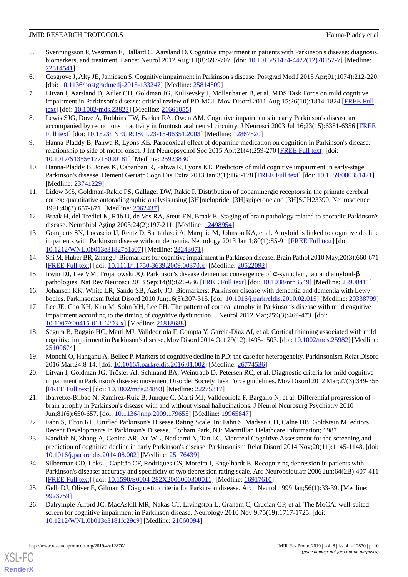### JMIR RESEARCH PROTOCOLS Hanna-Pladdy et al

- <span id="page-9-0"></span>5. Svenningsson P, Westman E, Ballard C, Aarsland D. Cognitive impairment in patients with Parkinson's disease: diagnosis, biomarkers, and treatment. Lancet Neurol 2012 Aug;11(8):697-707. [doi: [10.1016/S1474-4422\(12\)70152-7\]](http://dx.doi.org/10.1016/S1474-4422(12)70152-7) [Medline: [22814541](http://www.ncbi.nlm.nih.gov/entrez/query.fcgi?cmd=Retrieve&db=PubMed&list_uids=22814541&dopt=Abstract)]
- <span id="page-9-2"></span><span id="page-9-1"></span>6. Cosgrove J, Alty JE, Jamieson S. Cognitive impairment in Parkinson's disease. Postgrad Med J 2015 Apr;91(1074):212-220. [doi: [10.1136/postgradmedj-2015-133247](http://dx.doi.org/10.1136/postgradmedj-2015-133247)] [Medline: [25814509](http://www.ncbi.nlm.nih.gov/entrez/query.fcgi?cmd=Retrieve&db=PubMed&list_uids=25814509&dopt=Abstract)]
- 7. Litvan I, Aarsland D, Adler CH, Goldman JG, Kulisevsky J, Mollenhauer B, et al. MDS Task Force on mild cognitive impairment in Parkinson's disease: critical review of PD-MCI. Mov Disord 2011 Aug 15;26(10):1814-1824 [\[FREE Full](http://europepmc.org/abstract/MED/21661055) [text](http://europepmc.org/abstract/MED/21661055)] [doi: [10.1002/mds.23823](http://dx.doi.org/10.1002/mds.23823)] [Medline: [21661055\]](http://www.ncbi.nlm.nih.gov/entrez/query.fcgi?cmd=Retrieve&db=PubMed&list_uids=21661055&dopt=Abstract)
- <span id="page-9-4"></span><span id="page-9-3"></span>8. Lewis SJG, Dove A, Robbins TW, Barker RA, Owen AM. Cognitive impairments in early Parkinson's disease are accompanied by reductions in activity in frontostriatal neural circuitry. J Neurosci 2003 Jul 16;23(15):6351-6356 [\[FREE](http://www.jneurosci.org/cgi/pmidlookup?view=long&pmid=12867520) [Full text\]](http://www.jneurosci.org/cgi/pmidlookup?view=long&pmid=12867520) [doi: [10.1523/JNEUROSCI.23-15-06351.2003\]](http://dx.doi.org/10.1523/JNEUROSCI.23-15-06351.2003) [Medline: [12867520](http://www.ncbi.nlm.nih.gov/entrez/query.fcgi?cmd=Retrieve&db=PubMed&list_uids=12867520&dopt=Abstract)]
- <span id="page-9-5"></span>9. Hanna-Pladdy B, Pahwa R, Lyons KE. Paradoxical effect of dopamine medication on cognition in Parkinson's disease: relationship to side of motor onset. J Int Neuropsychol Soc 2015 Apr;21(4):259-270 [[FREE Full text](http://europepmc.org/abstract/MED/25923830)] [doi: [10.1017/S1355617715000181](http://dx.doi.org/10.1017/S1355617715000181)] [Medline: [25923830](http://www.ncbi.nlm.nih.gov/entrez/query.fcgi?cmd=Retrieve&db=PubMed&list_uids=25923830&dopt=Abstract)]
- <span id="page-9-6"></span>10. Hanna-Pladdy B, Jones K, Cabanban R, Pahwa R, Lyons KE. Predictors of mild cognitive impairment in early-stage Parkinson's disease. Dement Geriatr Cogn Dis Extra 2013 Jan;3(1):168-178 [\[FREE Full text\]](https://www.karger.com?DOI=10.1159/000351421) [doi: [10.1159/000351421](http://dx.doi.org/10.1159/000351421)] [Medline: [23741229](http://www.ncbi.nlm.nih.gov/entrez/query.fcgi?cmd=Retrieve&db=PubMed&list_uids=23741229&dopt=Abstract)]
- <span id="page-9-7"></span>11. Lidow MS, Goldman-Rakic PS, Gallager DW, Rakic P. Distribution of dopaminergic receptors in the primate cerebral cortex: quantitative autoradiographic analysis using [3H]raclopride, [3H]spiperone and [3H]SCH23390. Neuroscience 1991;40(3):657-671. [Medline: [2062437](http://www.ncbi.nlm.nih.gov/entrez/query.fcgi?cmd=Retrieve&db=PubMed&list_uids=2062437&dopt=Abstract)]
- <span id="page-9-8"></span>12. Braak H, del Tredici K, Rüb U, de Vos RA, Steur EN, Braak E. Staging of brain pathology related to sporadic Parkinson's disease. Neurobiol Aging 2003;24(2):197-211. [Medline: [12498954](http://www.ncbi.nlm.nih.gov/entrez/query.fcgi?cmd=Retrieve&db=PubMed&list_uids=12498954&dopt=Abstract)]
- <span id="page-9-9"></span>13. Gomperts SN, Locascio JJ, Rentz D, Santarlasci A, Marquie M, Johnson KA, et al. Amyloid is linked to cognitive decline in patients with Parkinson disease without dementia. Neurology 2013 Jan 1;80(1):85-91 [\[FREE Full text](http://europepmc.org/abstract/MED/23243071)] [doi: [10.1212/WNL.0b013e31827b1a07\]](http://dx.doi.org/10.1212/WNL.0b013e31827b1a07) [Medline: [23243071\]](http://www.ncbi.nlm.nih.gov/entrez/query.fcgi?cmd=Retrieve&db=PubMed&list_uids=23243071&dopt=Abstract)
- <span id="page-9-11"></span><span id="page-9-10"></span>14. Shi M, Huber BR, Zhang J. Biomarkers for cognitive impairment in Parkinson disease. Brain Pathol 2010 May;20(3):660-671 [[FREE Full text](http://europepmc.org/abstract/MED/20522092)] [doi: [10.1111/j.1750-3639.2009.00370.x\]](http://dx.doi.org/10.1111/j.1750-3639.2009.00370.x) [Medline: [20522092\]](http://www.ncbi.nlm.nih.gov/entrez/query.fcgi?cmd=Retrieve&db=PubMed&list_uids=20522092&dopt=Abstract)
- <span id="page-9-12"></span>15. Irwin DJ, Lee VM, Trojanowski JQ. Parkinson's disease dementia: convergence of α-synuclein, tau and amyloid-β pathologies. Nat Rev Neurosci 2013 Sep;14(9):626-636 [\[FREE Full text\]](http://europepmc.org/abstract/MED/23900411) [doi: [10.1038/nrn3549\]](http://dx.doi.org/10.1038/nrn3549) [Medline: [23900411](http://www.ncbi.nlm.nih.gov/entrez/query.fcgi?cmd=Retrieve&db=PubMed&list_uids=23900411&dopt=Abstract)]
- <span id="page-9-13"></span>16. Johansen KK, White LR, Sando SB, Aasly JO. Biomarkers: Parkinson disease with dementia and dementia with Lewy bodies. Parkinsonism Relat Disord 2010 Jun;16(5):307-315. [doi: [10.1016/j.parkreldis.2010.02.015](http://dx.doi.org/10.1016/j.parkreldis.2010.02.015)] [Medline: [20338799](http://www.ncbi.nlm.nih.gov/entrez/query.fcgi?cmd=Retrieve&db=PubMed&list_uids=20338799&dopt=Abstract)]
- 17. Lee JE, Cho KH, Kim M, Sohn YH, Lee PH. The pattern of cortical atrophy in Parkinson's disease with mild cognitive impairment according to the timing of cognitive dysfunction. J Neurol 2012 Mar;259(3):469-473. [doi: [10.1007/s00415-011-6203-x\]](http://dx.doi.org/10.1007/s00415-011-6203-x) [Medline: [21818688](http://www.ncbi.nlm.nih.gov/entrez/query.fcgi?cmd=Retrieve&db=PubMed&list_uids=21818688&dopt=Abstract)]
- <span id="page-9-15"></span><span id="page-9-14"></span>18. Segura B, Baggio HC, Marti MJ, Valldeoriola F, Compta Y, Garcia-Diaz AI, et al. Cortical thinning associated with mild cognitive impairment in Parkinson's disease. Mov Disord 2014 Oct;29(12):1495-1503. [doi: [10.1002/mds.25982](http://dx.doi.org/10.1002/mds.25982)] [Medline: [25100674](http://www.ncbi.nlm.nih.gov/entrez/query.fcgi?cmd=Retrieve&db=PubMed&list_uids=25100674&dopt=Abstract)]
- <span id="page-9-16"></span>19. Monchi O, Hanganu A, Bellec P. Markers of cognitive decline in PD: the case for heterogeneity. Parkinsonism Relat Disord 2016 Mar;24:8-14. [doi: [10.1016/j.parkreldis.2016.01.002](http://dx.doi.org/10.1016/j.parkreldis.2016.01.002)] [Medline: [26774536\]](http://www.ncbi.nlm.nih.gov/entrez/query.fcgi?cmd=Retrieve&db=PubMed&list_uids=26774536&dopt=Abstract)
- <span id="page-9-17"></span>20. Litvan I, Goldman JG, Tröster AI, Schmand BA, Weintraub D, Petersen RC, et al. Diagnostic criteria for mild cognitive impairment in Parkinson's disease: movement Disorder Society Task Force guidelines. Mov Disord 2012 Mar;27(3):349-356 [[FREE Full text](http://europepmc.org/abstract/MED/22275317)] [doi: [10.1002/mds.24893\]](http://dx.doi.org/10.1002/mds.24893) [Medline: [22275317\]](http://www.ncbi.nlm.nih.gov/entrez/query.fcgi?cmd=Retrieve&db=PubMed&list_uids=22275317&dopt=Abstract)
- <span id="page-9-18"></span>21. Ibarretxe-Bilbao N, Ramirez-Ruiz B, Junque C, Marti MJ, Valldeoriola F, Bargallo N, et al. Differential progression of brain atrophy in Parkinson's disease with and without visual hallucinations. J Neurol Neurosurg Psychiatry 2010 Jun;81(6):650-657. [doi: [10.1136/jnnp.2009.179655](http://dx.doi.org/10.1136/jnnp.2009.179655)] [Medline: [19965847](http://www.ncbi.nlm.nih.gov/entrez/query.fcgi?cmd=Retrieve&db=PubMed&list_uids=19965847&dopt=Abstract)]
- <span id="page-9-19"></span>22. Fahn S, Elton RL. Unified Parkinson's Disease Rating Scale. In: Fahn S, Madsen CD, Calne DB, Goldstein M, editors. Recent Developments in Parkinson's Disease. Florham Park, NJ: Macmillan Helathcare Information; 1987.
- <span id="page-9-20"></span>23. Kandiah N, Zhang A, Cenina AR, Au WL, Nadkarni N, Tan LC. Montreal Cognitive Assessment for the screening and prediction of cognitive decline in early Parkinson's disease. Parkinsonism Relat Disord 2014 Nov;20(11):1145-1148. [doi: [10.1016/j.parkreldis.2014.08.002\]](http://dx.doi.org/10.1016/j.parkreldis.2014.08.002) [Medline: [25176439](http://www.ncbi.nlm.nih.gov/entrez/query.fcgi?cmd=Retrieve&db=PubMed&list_uids=25176439&dopt=Abstract)]
- <span id="page-9-21"></span>24. Silberman CD, Laks J, Capitão CF, Rodrigues CS, Moreira I, Engelhardt E. Recognizing depression in patients with Parkinson's disease: accuracy and specificity of two depression rating scale. Arq Neuropsiquiatr 2006 Jun;64(2B):407-411 [[FREE Full text](http://www.scielo.br/scielo.php?script=sci_arttext&pid=S0004-282X2006000300011&lng=en&nrm=iso&tlng=en)] [doi: [10.1590/S0004-282X2006000300011\]](http://dx.doi.org/10.1590/S0004-282X2006000300011) [Medline: [16917610\]](http://www.ncbi.nlm.nih.gov/entrez/query.fcgi?cmd=Retrieve&db=PubMed&list_uids=16917610&dopt=Abstract)
- 25. Gelb DJ, Oliver E, Gilman S. Diagnostic criteria for Parkinson disease. Arch Neurol 1999 Jan;56(1):33-39. [Medline: [9923759\]](http://www.ncbi.nlm.nih.gov/entrez/query.fcgi?cmd=Retrieve&db=PubMed&list_uids=9923759&dopt=Abstract)
- 26. Dalrymple-Alford JC, MacAskill MR, Nakas CT, Livingston L, Graham C, Crucian GP, et al. The MoCA: well-suited screen for cognitive impairment in Parkinson disease. Neurology 2010 Nov 9;75(19):1717-1725. [doi: [10.1212/WNL.0b013e3181fc29c9\]](http://dx.doi.org/10.1212/WNL.0b013e3181fc29c9) [Medline: [21060094\]](http://www.ncbi.nlm.nih.gov/entrez/query.fcgi?cmd=Retrieve&db=PubMed&list_uids=21060094&dopt=Abstract)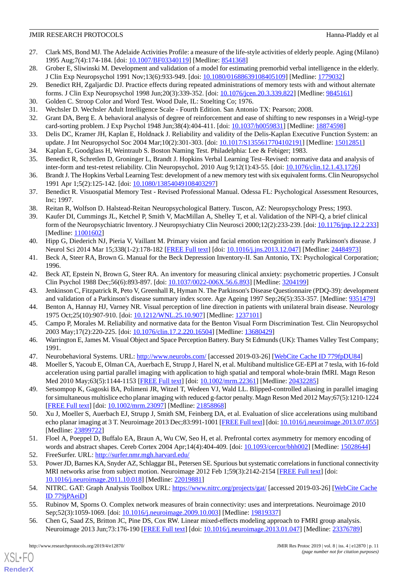- <span id="page-10-0"></span>27. Clark MS, Bond MJ. The Adelaide Activities Profile: a measure of the life-style activities of elderly people. Aging (Milano) 1995 Aug;7(4):174-184. [doi: [10.1007/BF03340119\]](http://dx.doi.org/10.1007/BF03340119) [Medline: [8541368](http://www.ncbi.nlm.nih.gov/entrez/query.fcgi?cmd=Retrieve&db=PubMed&list_uids=8541368&dopt=Abstract)]
- <span id="page-10-2"></span><span id="page-10-1"></span>28. Grober E, Sliwinski M. Development and validation of a model for estimating premorbid verbal intelligence in the elderly. J Clin Exp Neuropsychol 1991 Nov;13(6):933-949. [doi: [10.1080/01688639108405109\]](http://dx.doi.org/10.1080/01688639108405109) [Medline: [1779032](http://www.ncbi.nlm.nih.gov/entrez/query.fcgi?cmd=Retrieve&db=PubMed&list_uids=1779032&dopt=Abstract)]
- <span id="page-10-3"></span>29. Benedict RH, Zgaljardic DJ. Practice effects during repeated administrations of memory tests with and without alternate forms. J Clin Exp Neuropsychol 1998 Jun;20(3):339-352. [doi: [10.1076/jcen.20.3.339.822](http://dx.doi.org/10.1076/jcen.20.3.339.822)] [Medline: [9845161](http://www.ncbi.nlm.nih.gov/entrez/query.fcgi?cmd=Retrieve&db=PubMed&list_uids=9845161&dopt=Abstract)]
- <span id="page-10-4"></span>30. Golden C. Stroop Color and Word Test. Wood Dale, IL: Stoelting Co; 1976.
- <span id="page-10-5"></span>31. Wechsler D. Wechsler Adult Intelligence Scale - Fourth Edition. San Antonio TX: Pearson; 2008.
- <span id="page-10-6"></span>32. Grant DA, Berg E. A behavioral analysis of degree of reinforcement and ease of shifting to new responses in a Weigl-type card-sorting problem. J Exp Psychol 1948 Jun;38(4):404-411. [doi: [10.1037/h0059831\]](http://dx.doi.org/10.1037/h0059831) [Medline: [18874598](http://www.ncbi.nlm.nih.gov/entrez/query.fcgi?cmd=Retrieve&db=PubMed&list_uids=18874598&dopt=Abstract)]
- <span id="page-10-7"></span>33. Delis DC, Kramer JH, Kaplan E, Holdnack J. Reliability and validity of the Delis-Kaplan Executive Function System: an update. J Int Neuropsychol Soc 2004 Mar;10(2):301-303. [doi: [10.1017/S1355617704102191](http://dx.doi.org/10.1017/S1355617704102191)] [Medline: [15012851\]](http://www.ncbi.nlm.nih.gov/entrez/query.fcgi?cmd=Retrieve&db=PubMed&list_uids=15012851&dopt=Abstract)
- <span id="page-10-8"></span>34. Kaplan E, Goodglass H, Weintraub S. Boston Naming Test. Philadelphia: Lee & Febiger; 1983.
- <span id="page-10-9"></span>35. Benedict R, Schretlen D, Groninger L, Brandt J. Hopkins Verbal Learning Test–Revised: normative data and analysis of inter-form and test-retest reliability. Clin NeuropsychoL 2010 Aug 9;12(1):43-55. [doi: [10.1076/clin.12.1.43.1726\]](http://dx.doi.org/10.1076/clin.12.1.43.1726)
- <span id="page-10-10"></span>36. Brandt J. The Hopkins Verbal Learning Test: development of a new memory test with six equivalent forms. Clin Neuropsychol 1991 Apr 1;5(2):125-142. [doi: [10.1080/13854049108403297](http://dx.doi.org/10.1080/13854049108403297)]
- <span id="page-10-12"></span><span id="page-10-11"></span>37. Benedict R. Visuospatial Memory Test - Revised Professional Manual. Odessa FL: Psychological Assessment Resources, Inc; 1997.
- 38. Reitan R, Wolfson D. Halstead-Reitan Neuropsychological Battery. Tuscon, AZ: Neuropsychology Press; 1993.
- <span id="page-10-13"></span>39. Kaufer DI, Cummings JL, Ketchel P, Smith V, MacMillan A, Shelley T, et al. Validation of the NPI-Q, a brief clinical form of the Neuropsychiatric Inventory. J Neuropsychiatry Clin Neurosci 2000;12(2):233-239. [doi: [10.1176/jnp.12.2.233](http://dx.doi.org/10.1176/jnp.12.2.233)] [Medline: [11001602](http://www.ncbi.nlm.nih.gov/entrez/query.fcgi?cmd=Retrieve&db=PubMed&list_uids=11001602&dopt=Abstract)]
- <span id="page-10-15"></span><span id="page-10-14"></span>40. Hipp G, Diederich NJ, Pieria V, Vaillant M. Primary vision and facial emotion recognition in early Parkinson's disease. J Neurol Sci 2014 Mar 15;338(1-2):178-182 [\[FREE Full text\]](https://linkinghub.elsevier.com/retrieve/pii/S0022-510X(14)00004-5) [doi: [10.1016/j.jns.2013.12.047\]](http://dx.doi.org/10.1016/j.jns.2013.12.047) [Medline: [24484973\]](http://www.ncbi.nlm.nih.gov/entrez/query.fcgi?cmd=Retrieve&db=PubMed&list_uids=24484973&dopt=Abstract)
- <span id="page-10-16"></span>41. Beck A, Steer RA, Brown G. Manual for the Beck Depression Inventory-II. San Antonio, TX: Psychological Corporation; 1996.
- <span id="page-10-17"></span>42. Beck AT, Epstein N, Brown G, Steer RA. An inventory for measuring clinical anxiety: psychometric properties. J Consult Clin Psychol 1988 Dec;56(6):893-897. [doi: [10.1037/0022-006X.56.6.893](http://dx.doi.org/10.1037/0022-006X.56.6.893)] [Medline: [3204199](http://www.ncbi.nlm.nih.gov/entrez/query.fcgi?cmd=Retrieve&db=PubMed&list_uids=3204199&dopt=Abstract)]
- <span id="page-10-18"></span>43. Jenkinson C, Fitzpatrick R, Peto V, Greenhall R, Hyman N. The Parkinson's Disease Questionnaire (PDQ-39): development and validation of a Parkinson's disease summary index score. Age Ageing 1997 Sep;26(5):353-357. [Medline: [9351479](http://www.ncbi.nlm.nih.gov/entrez/query.fcgi?cmd=Retrieve&db=PubMed&list_uids=9351479&dopt=Abstract)]
- <span id="page-10-19"></span>44. Benton A, Hannay HJ, Varney NR. Visual perception of line direction in patients with unilateral brain disease. Neurology 1975 Oct;25(10):907-910. [doi: [10.1212/WNL.25.10.907\]](http://dx.doi.org/10.1212/WNL.25.10.907) [Medline: [1237101\]](http://www.ncbi.nlm.nih.gov/entrez/query.fcgi?cmd=Retrieve&db=PubMed&list_uids=1237101&dopt=Abstract)
- <span id="page-10-21"></span><span id="page-10-20"></span>45. Campo P, Morales M. Reliability and normative data for the Benton Visual Form Discrimination Test. Clin Neuropsychol 2003 May;17(2):220-225. [doi: [10.1076/clin.17.2.220.16504\]](http://dx.doi.org/10.1076/clin.17.2.220.16504) [Medline: [13680429](http://www.ncbi.nlm.nih.gov/entrez/query.fcgi?cmd=Retrieve&db=PubMed&list_uids=13680429&dopt=Abstract)]
- 46. Warrington E, James M. Visual Object and Space Perception Battery. Bury St Edmunds (UK): Thames Valley Test Company; 1991.
- 47. Neurobehavioral Systems. URL: <http://www.neurobs.com/> [accessed 2019-03-26] [\[WebCite Cache ID 779fpDU84\]](http://www.webcitation.org/

                 779fpDU84)
- <span id="page-10-22"></span>48. Moeller S, Yacoub E, Olman CA, Auerbach E, Strupp J, Harel N, et al. Multiband multislice GE-EPI at 7 tesla, with 16-fold acceleration using partial parallel imaging with application to high spatial and temporal whole-brain fMRI. Magn Reson Med 2010 May;63(5):1144-1153 [[FREE Full text\]](https://doi.org/10.1002/mrm.22361) [doi: [10.1002/mrm.22361\]](http://dx.doi.org/10.1002/mrm.22361) [Medline: [20432285\]](http://www.ncbi.nlm.nih.gov/entrez/query.fcgi?cmd=Retrieve&db=PubMed&list_uids=20432285&dopt=Abstract)
- <span id="page-10-23"></span>49. Setsompop K, Gagoski BA, Polimeni JR, Witzel T, Wedeen VJ, Wald LL. Blipped-controlled aliasing in parallel imaging for simultaneous multislice echo planar imaging with reduced g-factor penalty. Magn Reson Med 2012 May;67(5):1210-1224 [[FREE Full text](https://doi.org/10.1002/mrm.23097)] [doi: [10.1002/mrm.23097](http://dx.doi.org/10.1002/mrm.23097)] [Medline: [21858868\]](http://www.ncbi.nlm.nih.gov/entrez/query.fcgi?cmd=Retrieve&db=PubMed&list_uids=21858868&dopt=Abstract)
- <span id="page-10-25"></span><span id="page-10-24"></span>50. Xu J, Moeller S, Auerbach EJ, Strupp J, Smith SM, Feinberg DA, et al. Evaluation of slice accelerations using multiband echo planar imaging at 3 T. Neuroimage 2013 Dec;83:991-1001 [[FREE Full text](http://europepmc.org/abstract/MED/23899722)] [doi: [10.1016/j.neuroimage.2013.07.055](http://dx.doi.org/10.1016/j.neuroimage.2013.07.055)] [Medline: [23899722](http://www.ncbi.nlm.nih.gov/entrez/query.fcgi?cmd=Retrieve&db=PubMed&list_uids=23899722&dopt=Abstract)]
- <span id="page-10-26"></span>51. Floel A, Poeppel D, Buffalo EA, Braun A, Wu CW, Seo H, et al. Prefrontal cortex asymmetry for memory encoding of words and abstract shapes. Cereb Cortex 2004 Apr;14(4):404-409. [doi: [10.1093/cercor/bhh002\]](http://dx.doi.org/10.1093/cercor/bhh002) [Medline: [15028644](http://www.ncbi.nlm.nih.gov/entrez/query.fcgi?cmd=Retrieve&db=PubMed&list_uids=15028644&dopt=Abstract)]
- <span id="page-10-27"></span>52. FreeSurfer. URL:<http://surfer.nmr.mgh.harvard.edu/>
- <span id="page-10-28"></span>53. Power JD, Barnes KA, Snyder AZ, Schlaggar BL, Petersen SE. Spurious but systematic correlations in functional connectivity MRI networks arise from subject motion. Neuroimage 2012 Feb 1;59(3):2142-2154 [[FREE Full text](http://europepmc.org/abstract/MED/22019881)] [doi: [10.1016/j.neuroimage.2011.10.018\]](http://dx.doi.org/10.1016/j.neuroimage.2011.10.018) [Medline: [22019881\]](http://www.ncbi.nlm.nih.gov/entrez/query.fcgi?cmd=Retrieve&db=PubMed&list_uids=22019881&dopt=Abstract)
- 54. NITRC. GAT: Graph Analysis Toolbox URL: <https://www.nitrc.org/projects/gat/> [accessed 2019-03-26] [\[WebCite Cache](http://www.webcitation.org/

                 779jPAeiD) [ID 779jPAeiD\]](http://www.webcitation.org/

                                779jPAeiD)
- 55. Rubinov M, Sporns O. Complex network measures of brain connectivity: uses and interpretations. Neuroimage 2010 Sep;52(3):1059-1069. [doi: [10.1016/j.neuroimage.2009.10.003\]](http://dx.doi.org/10.1016/j.neuroimage.2009.10.003) [Medline: [19819337](http://www.ncbi.nlm.nih.gov/entrez/query.fcgi?cmd=Retrieve&db=PubMed&list_uids=19819337&dopt=Abstract)]
- 56. Chen G, Saad ZS, Britton JC, Pine DS, Cox RW. Linear mixed-effects modeling approach to FMRI group analysis. Neuroimage 2013 Jun;73:176-190 [[FREE Full text\]](http://europepmc.org/abstract/MED/23376789) [doi: [10.1016/j.neuroimage.2013.01.047\]](http://dx.doi.org/10.1016/j.neuroimage.2013.01.047) [Medline: [23376789](http://www.ncbi.nlm.nih.gov/entrez/query.fcgi?cmd=Retrieve&db=PubMed&list_uids=23376789&dopt=Abstract)]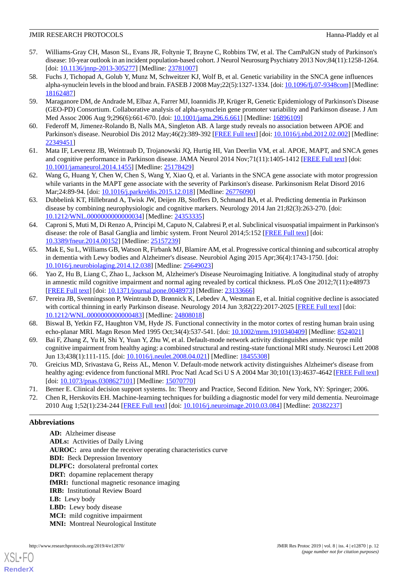- <span id="page-11-0"></span>57. Williams-Gray CH, Mason SL, Evans JR, Foltynie T, Brayne C, Robbins TW, et al. The CamPaIGN study of Parkinson's disease: 10-year outlook in an incident population-based cohort. J Neurol Neurosurg Psychiatry 2013 Nov;84(11):1258-1264. [doi: [10.1136/jnnp-2013-305277\]](http://dx.doi.org/10.1136/jnnp-2013-305277) [Medline: [23781007](http://www.ncbi.nlm.nih.gov/entrez/query.fcgi?cmd=Retrieve&db=PubMed&list_uids=23781007&dopt=Abstract)]
- <span id="page-11-1"></span>58. Fuchs J, Tichopad A, Golub Y, Munz M, Schweitzer KJ, Wolf B, et al. Genetic variability in the SNCA gene influences alpha-synuclein levels in the blood and brain. FASEB J 2008 May;22(5):1327-1334. [doi: [10.1096/fj.07-9348com\]](http://dx.doi.org/10.1096/fj.07-9348com) [Medline: [18162487](http://www.ncbi.nlm.nih.gov/entrez/query.fcgi?cmd=Retrieve&db=PubMed&list_uids=18162487&dopt=Abstract)]
- <span id="page-11-3"></span><span id="page-11-2"></span>59. Maraganore DM, de Andrade M, Elbaz A, Farrer MJ, Ioannidis JP, Krüger R, Genetic Epidemiology of Parkinson's Disease (GEO-PD) Consortium. Collaborative analysis of alpha-synuclein gene promoter variability and Parkinson disease. J Am Med Assoc 2006 Aug 9;296(6):661-670. [doi: [10.1001/jama.296.6.661\]](http://dx.doi.org/10.1001/jama.296.6.661) [Medline: [16896109](http://www.ncbi.nlm.nih.gov/entrez/query.fcgi?cmd=Retrieve&db=PubMed&list_uids=16896109&dopt=Abstract)]
- <span id="page-11-4"></span>60. Federoff M, Jimenez-Rolando B, Nalls MA, Singleton AB. A large study reveals no association between APOE and Parkinson's disease. Neurobiol Dis 2012 May;46(2):389-392 [\[FREE Full text](http://europepmc.org/abstract/MED/22349451)] [doi: [10.1016/j.nbd.2012.02.002\]](http://dx.doi.org/10.1016/j.nbd.2012.02.002) [Medline: [22349451](http://www.ncbi.nlm.nih.gov/entrez/query.fcgi?cmd=Retrieve&db=PubMed&list_uids=22349451&dopt=Abstract)]
- <span id="page-11-5"></span>61. Mata IF, Leverenz JB, Weintraub D, Trojanowski JQ, Hurtig HI, Van Deerlin VM, et al. APOE, MAPT, and SNCA genes and cognitive performance in Parkinson disease. JAMA Neurol 2014 Nov;71(11):1405-1412 [[FREE Full text](http://europepmc.org/abstract/MED/25178429)] [doi: [10.1001/jamaneurol.2014.1455\]](http://dx.doi.org/10.1001/jamaneurol.2014.1455) [Medline: [25178429\]](http://www.ncbi.nlm.nih.gov/entrez/query.fcgi?cmd=Retrieve&db=PubMed&list_uids=25178429&dopt=Abstract)
- <span id="page-11-6"></span>62. Wang G, Huang Y, Chen W, Chen S, Wang Y, Xiao Q, et al. Variants in the SNCA gene associate with motor progression while variants in the MAPT gene associate with the severity of Parkinson's disease. Parkinsonism Relat Disord 2016 Mar;24:89-94. [doi: [10.1016/j.parkreldis.2015.12.018\]](http://dx.doi.org/10.1016/j.parkreldis.2015.12.018) [Medline: [26776090](http://www.ncbi.nlm.nih.gov/entrez/query.fcgi?cmd=Retrieve&db=PubMed&list_uids=26776090&dopt=Abstract)]
- <span id="page-11-7"></span>63. Dubbelink KT, Hillebrand A, Twisk JW, Deijen JB, Stoffers D, Schmand BA, et al. Predicting dementia in Parkinson disease by combining neurophysiologic and cognitive markers. Neurology 2014 Jan 21;82(3):263-270. [doi: [10.1212/WNL.0000000000000034](http://dx.doi.org/10.1212/WNL.0000000000000034)] [Medline: [24353335\]](http://www.ncbi.nlm.nih.gov/entrez/query.fcgi?cmd=Retrieve&db=PubMed&list_uids=24353335&dopt=Abstract)
- <span id="page-11-8"></span>64. Caproni S, Muti M, Di Renzo A, Principi M, Caputo N, Calabresi P, et al. Subclinical visuospatial impairment in Parkinson's disease: the role of Basal Ganglia and limbic system. Front Neurol 2014;5:152 [[FREE Full text](https://dx.doi.org/10.3389/fneur.2014.00152)] [doi: [10.3389/fneur.2014.00152](http://dx.doi.org/10.3389/fneur.2014.00152)] [Medline: [25157239](http://www.ncbi.nlm.nih.gov/entrez/query.fcgi?cmd=Retrieve&db=PubMed&list_uids=25157239&dopt=Abstract)]
- <span id="page-11-9"></span>65. Mak E, Su L, Williams GB, Watson R, Firbank MJ, Blamire AM, et al. Progressive cortical thinning and subcortical atrophy in dementia with Lewy bodies and Alzheimer's disease. Neurobiol Aging 2015 Apr;36(4):1743-1750. [doi: [10.1016/j.neurobiolaging.2014.12.038](http://dx.doi.org/10.1016/j.neurobiolaging.2014.12.038)] [Medline: [25649023\]](http://www.ncbi.nlm.nih.gov/entrez/query.fcgi?cmd=Retrieve&db=PubMed&list_uids=25649023&dopt=Abstract)
- <span id="page-11-10"></span>66. Yao Z, Hu B, Liang C, Zhao L, Jackson M, Alzheimer's Disease Neuroimaging Initiative. A longitudinal study of atrophy in amnestic mild cognitive impairment and normal aging revealed by cortical thickness. PLoS One 2012;7(11):e48973 [[FREE Full text](http://dx.plos.org/10.1371/journal.pone.0048973)] [doi: [10.1371/journal.pone.0048973](http://dx.doi.org/10.1371/journal.pone.0048973)] [Medline: [23133666](http://www.ncbi.nlm.nih.gov/entrez/query.fcgi?cmd=Retrieve&db=PubMed&list_uids=23133666&dopt=Abstract)]
- <span id="page-11-12"></span><span id="page-11-11"></span>67. Pereira JB, Svenningsson P, Weintraub D, Brønnick K, Lebedev A, Westman E, et al. Initial cognitive decline is associated with cortical thinning in early Parkinson disease. Neurology 2014 Jun 3;82(22):2017-2025 [[FREE Full text](http://europepmc.org/abstract/MED/24808018)] [doi: [10.1212/WNL.0000000000000483](http://dx.doi.org/10.1212/WNL.0000000000000483)] [Medline: [24808018\]](http://www.ncbi.nlm.nih.gov/entrez/query.fcgi?cmd=Retrieve&db=PubMed&list_uids=24808018&dopt=Abstract)
- <span id="page-11-13"></span>68. Biswal B, Yetkin FZ, Haughton VM, Hyde JS. Functional connectivity in the motor cortex of resting human brain using echo-planar MRI. Magn Reson Med 1995 Oct;34(4):537-541. [doi: [10.1002/mrm.1910340409\]](http://dx.doi.org/10.1002/mrm.1910340409) [Medline: [8524021\]](http://www.ncbi.nlm.nih.gov/entrez/query.fcgi?cmd=Retrieve&db=PubMed&list_uids=8524021&dopt=Abstract)
- <span id="page-11-14"></span>69. Bai F, Zhang Z, Yu H, Shi Y, Yuan Y, Zhu W, et al. Default-mode network activity distinguishes amnestic type mild cognitive impairment from healthy aging: a combined structural and resting-state functional MRI study. Neurosci Lett 2008 Jun 13;438(1):111-115. [doi: [10.1016/j.neulet.2008.04.021](http://dx.doi.org/10.1016/j.neulet.2008.04.021)] [Medline: [18455308](http://www.ncbi.nlm.nih.gov/entrez/query.fcgi?cmd=Retrieve&db=PubMed&list_uids=18455308&dopt=Abstract)]
- <span id="page-11-15"></span>70. Greicius MD, Srivastava G, Reiss AL, Menon V. Default-mode network activity distinguishes Alzheimer's disease from healthy aging: evidence from functional MRI. Proc Natl Acad Sci U S A 2004 Mar 30;101(13):4637-4642 [[FREE Full text](http://www.pnas.org/cgi/pmidlookup?view=long&pmid=15070770)] [doi: [10.1073/pnas.0308627101](http://dx.doi.org/10.1073/pnas.0308627101)] [Medline: [15070770\]](http://www.ncbi.nlm.nih.gov/entrez/query.fcgi?cmd=Retrieve&db=PubMed&list_uids=15070770&dopt=Abstract)
- 71. Berner E. Clinical decision support systems. In: Theory and Practice, Second Edition. New York, NY: Springer; 2006.
- 72. Chen R, Herskovits EH. Machine-learning techniques for building a diagnostic model for very mild dementia. Neuroimage 2010 Aug 1;52(1):234-244 [\[FREE Full text](http://europepmc.org/abstract/MED/20382237)] [doi: [10.1016/j.neuroimage.2010.03.084](http://dx.doi.org/10.1016/j.neuroimage.2010.03.084)] [Medline: [20382237\]](http://www.ncbi.nlm.nih.gov/entrez/query.fcgi?cmd=Retrieve&db=PubMed&list_uids=20382237&dopt=Abstract)

# **Abbreviations**

[XSL](http://www.w3.org/Style/XSL)•FO **[RenderX](http://www.renderx.com/)**

**AD:** Alzheimer disease **ADLs:** Activities of Daily Living **AUROC:** area under the receiver operating characteristics curve **BDI:** Beck Depression Inventory **DLPFC:** dorsolateral prefrontal cortex **DRT:** dopamine replacement therapy **fMRI:** functional magnetic resonance imaging **IRB:** Institutional Review Board **LB:** Lewy body LBD: Lewy body disease **MCI:** mild cognitive impairment **MNI:** Montreal Neurological Institute